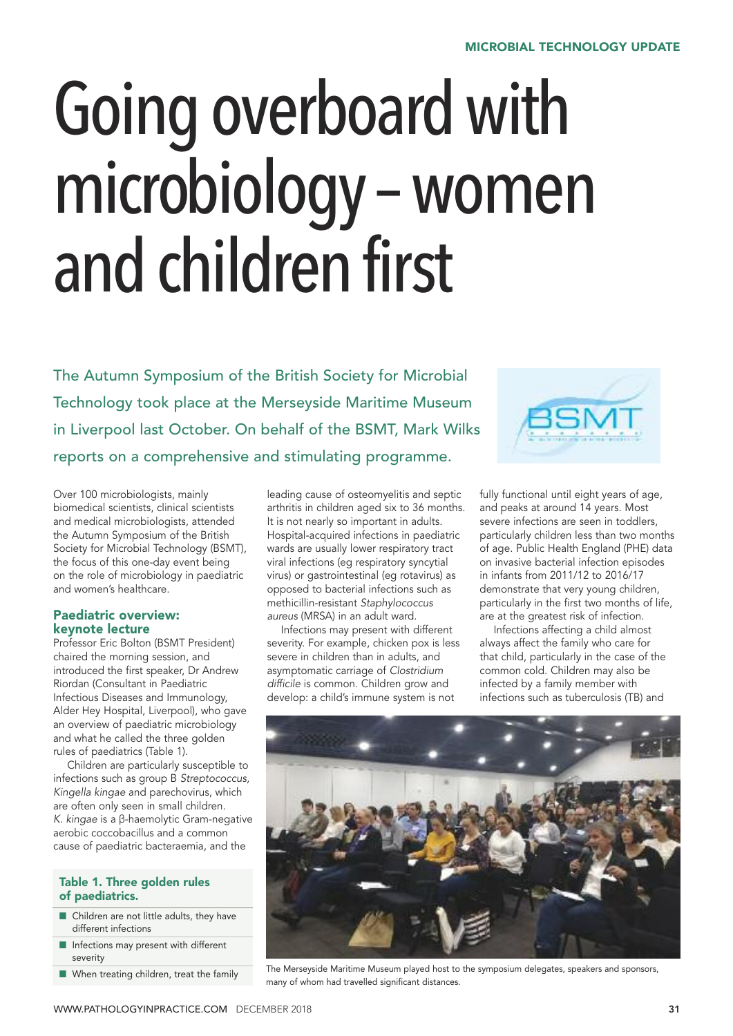# Going overboard with microbiology–women and children first

The Autumn Symposium of the British Society for Microbial Technology took place at the Merseyside Maritime Museum in Liverpool last October. On behalf of the BSMT, Mark Wilks reports on a comprehensive and stimulating programme.

Over 100 microbiologists, mainly biomedical scientists, clinical scientists and medical microbiologists, attended the Autumn Symposium of the British Society for Microbial Technology (BSMT), the focus of this one-day event being on the role of microbiology in paediatric and women's healthcare.

# Paediatric overview: keynote lecture

Professor Eric Bolton (BSMT President) chaired the morning session, and introduced the first speaker, Dr Andrew Riordan (Consultant in Paediatric Infectious Diseases and Immunology, Alder Hey Hospital, Liverpool), who gave an overview of paediatric microbiology and what he called the three golden rules of paediatrics (Table 1).

Children are particularly susceptible to infections such as group B *Streptococcus, Kingella kingae* and parechovirus, which are often only seen in small children. *K. kingae* is a β-haemolytic Gram-negative aerobic coccobacillus and a common cause of paediatric bacteraemia, and the

# Table 1. Three golden rules of paediatrics.

- Children are not little adults, they have different infections
- **n** Infections may present with different severity
- $\blacksquare$  When treating children, treat the family

leading cause of osteomyelitis and septic arthritis in children aged six to 36 months. It is not nearly so important in adults. Hospital-acquired infections in paediatric wards are usually lower respiratory tract viral infections (eg respiratory syncytial virus) or gastrointestinal (eg rotavirus) as opposed to bacterial infections such as methicillin-resistant *Staphylococcus aureus* (MRSA) in an adult ward.

Infections may present with different severity. For example, chicken pox is less severe in children than in adults, and asymptomatic carriage of *Clostridium* difficile is common. Children grow and develop: a child's immune system is not



fully functional until eight years of age, and peaks at around 14 years. Most severe infections are seen in toddlers, particularly children less than two months of age. Public Health England (PHE) data on invasive bacterial infection episodes in infants from 2011/12 to 2016/17 demonstrate that very young children, particularly in the first two months of life, are at the greatest risk of infection.

Infections affecting a child almost always affect the family who care for that child, particularly in the case of the common cold. Children may also be infected by a family member with infections such as tuberculosis (TB) and



The Merseyside Maritime Museum played host to the symposium delegates, speakers and sponsors, many of whom had travelled significant distances.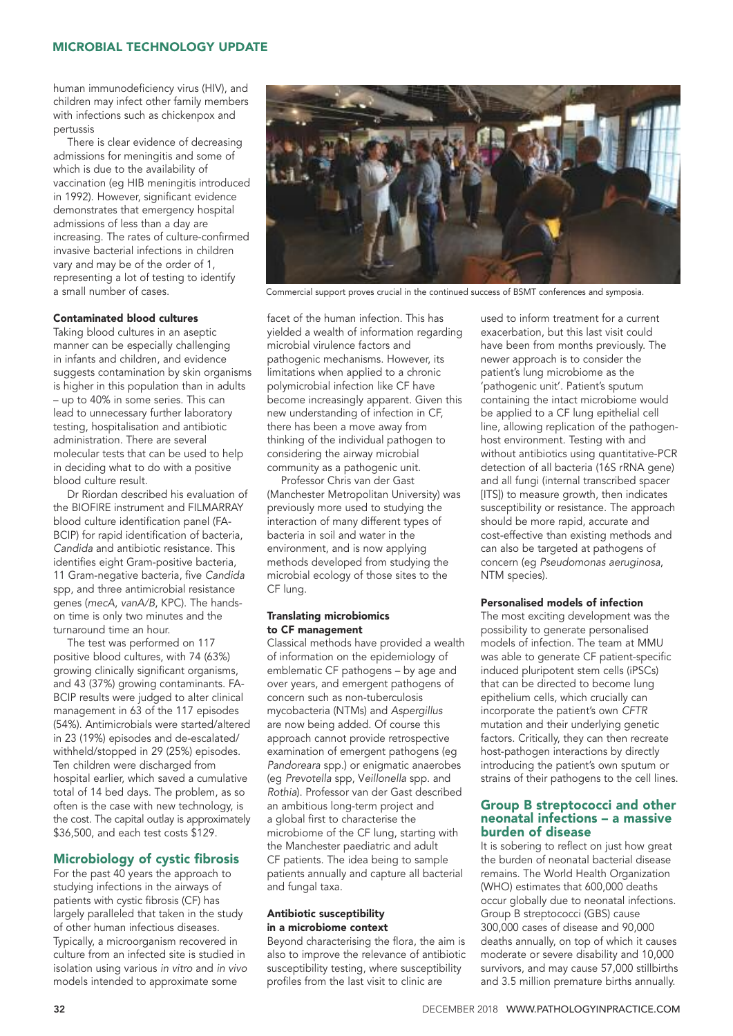human immunodeficiency virus (HIV), and children may infect other family members with infections such as chickenpox and pertussis

There is clear evidence of decreasing admissions for meningitis and some of which is due to the availability of vaccination (eg HIB meningitis introduced in 1992). However, significant evidence demonstrates that emergency hospital admissions of less than a day are increasing. The rates of culture-confirmed invasive bacterial infections in children vary and may be of the order of 1, representing a lot of testing to identify a small number of cases.

## Contaminated blood cultures

Taking blood cultures in an aseptic manner can be especially challenging in infants and children, and evidence suggests contamination by skin organisms is higher in this population than in adults – up to 40% in some series. This can lead to unnecessary further laboratory testing, hospitalisation and antibiotic administration. There are several molecular tests that can be used to help in deciding what to do with a positive blood culture result.

Dr Riordan described his evaluation of the BIOFIRE instrument and FILMARRAY blood culture identification panel (FA-BCIP) for rapid identification of bacteria, *Candida* and antibiotic resistance. This identifies eight Gram-positive bacteria, 11 Gram-negative bacteria, five *Candida* spp, and three antimicrobial resistance genes (*mecA*, *vanA/B*, KPC). The handson time is only two minutes and the turnaround time an hour.

The test was performed on 117 positive blood cultures, with 74 (63%) growing clinically significant organisms, and 43 (37%) growing contaminants. FA-BCIP results were judged to alter clinical management in 63 of the 117 episodes (54%). Antimicrobials were started/altered in 23 (19%) episodes and de-escalated/ withheld/stopped in 29 (25%) episodes. Ten children were discharged from hospital earlier, which saved a cumulative total of 14 bed days. The problem, as so often is the case with new technology, is the cost. The capital outlay is approximately \$36,500, and each test costs \$129.

# Microbiology of cystic fibrosis

For the past 40 years the approach to studying infections in the airways of patients with cystic fibrosis (CF) has largely paralleled that taken in the study of other human infectious diseases. Typically, a microorganism recovered in culture from an infected site is studied in isolation using various *in vitro* and *in vivo* models intended to approximate some



Commercial support proves crucial in the continued success of BSMT conferences and symposia.

facet of the human infection. This has yielded a wealth of information regarding microbial virulence factors and pathogenic mechanisms. However, its limitations when applied to a chronic polymicrobial infection like CF have become increasingly apparent. Given this new understanding of infection in CF, there has been a move away from thinking of the individual pathogen to considering the airway microbial community as a pathogenic unit.

Professor Chris van der Gast (Manchester Metropolitan University) was previously more used to studying the interaction of many different types of bacteria in soil and water in the environment, and is now applying methods developed from studying the microbial ecology of those sites to the CF lung.

#### Translating microbiomics to CF management

Classical methods have provided a wealth of information on the epidemiology of emblematic CF pathogens – by age and over years, and emergent pathogens of concern such as non-tuberculosis mycobacteria (NTMs) and *Aspergillus* are now being added. Of course this approach cannot provide retrospective examination of emergent pathogens (eg *Pandoreara* spp.) or enigmatic anaerobes (eg *Prevotella* spp, V*eillonella* spp. and *Rothia*). Professor van der Gast described an ambitious long-term project and a global first to characterise the microbiome of the CF lung, starting with the Manchester paediatric and adult CF patients. The idea being to sample patients annually and capture all bacterial and fungal taxa.

#### Antibiotic susceptibility in a microbiome context

Beyond characterising the flora, the aim is also to improve the relevance of antibiotic susceptibility testing, where susceptibility profiles from the last visit to clinic are

used to inform treatment for a current exacerbation, but this last visit could have been from months previously. The newer approach is to consider the patient's lung microbiome as the 'pathogenic unit'. Patient's sputum containing the intact microbiome would be applied to a CF lung epithelial cell line, allowing replication of the pathogenhost environment. Testing with and without antibiotics using quantitative-PCR detection of all bacteria (16S rRNA gene) and all fungi (internal transcribed spacer [ITS]) to measure growth, then indicates susceptibility or resistance. The approach should be more rapid, accurate and cost-effective than existing methods and can also be targeted at pathogens of concern (eg *Pseudomonas aeruginosa*, NTM species).

#### Personalised models of infection

The most exciting development was the possibility to generate personalised models of infection. The team at MMU was able to generate CF patient-specific induced pluripotent stem cells (iPSCs) that can be directed to become lung epithelium cells, which crucially can incorporate the patient's own *CFTR* mutation and their underlying genetic factors. Critically, they can then recreate host-pathogen interactions by directly introducing the patient's own sputum or strains of their pathogens to the cell lines.

#### Group B streptococci and other neonatal infections – a massive burden of disease

It is sobering to reflect on just how great the burden of neonatal bacterial disease remains. The World Health Organization (WHO) estimates that 600,000 deaths occur globally due to neonatal infections. Group B streptococci (GBS) cause 300,000 cases of disease and 90,000 deaths annually, on top of which it causes moderate or severe disability and 10,000 survivors, and may cause 57,000 stillbirths and 3.5 million premature births annually.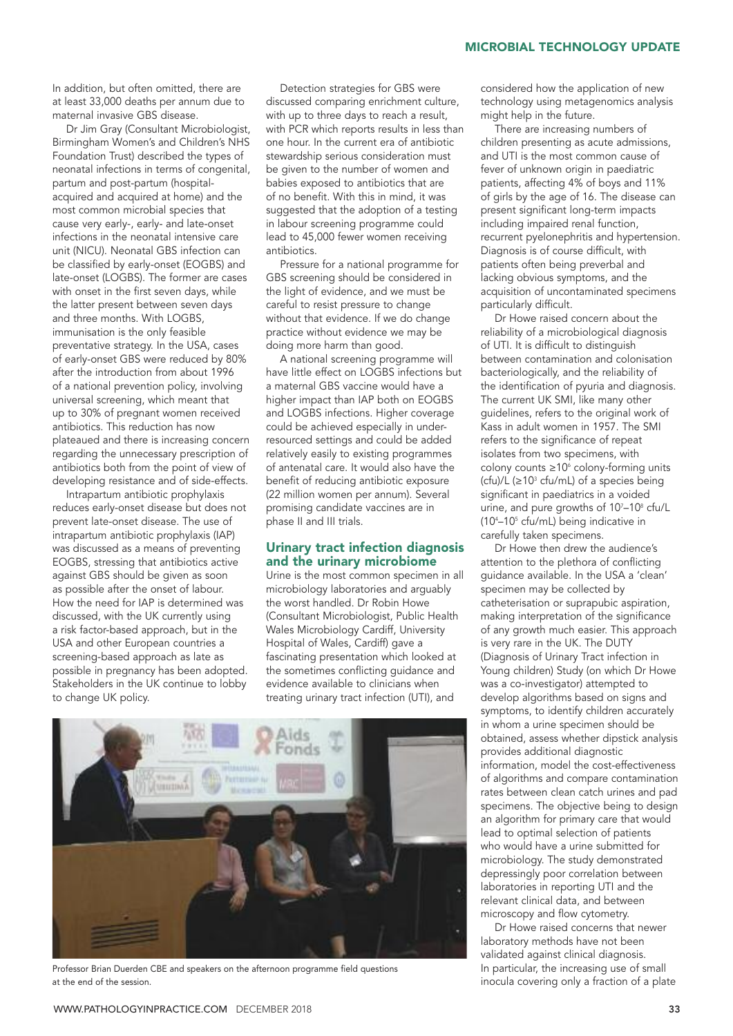In addition, but often omitted, there are at least 33,000 deaths per annum due to maternal invasive GBS disease.

Dr Jim Gray (Consultant Microbiologist, Birmingham Women's and Children's NHS Foundation Trust) described the types of neonatal infections in terms of congenital, partum and post-partum (hospitalacquired and acquired at home) and the most common microbial species that cause very early-, early- and late-onset infections in the neonatal intensive care unit (NICU). Neonatal GBS infection can be classified by early-onset (EOGBS) and late-onset (LOGBS). The former are cases with onset in the first seven days, while the latter present between seven days and three months. With LOGBS, immunisation is the only feasible preventative strategy. In the USA, cases of early-onset GBS were reduced by 80% after the introduction from about 1996 of a national prevention policy, involving universal screening, which meant that up to 30% of pregnant women received antibiotics. This reduction has now plateaued and there is increasing concern regarding the unnecessary prescription of antibiotics both from the point of view of developing resistance and of side-effects.

Intrapartum antibiotic prophylaxis reduces early-onset disease but does not prevent late-onset disease. The use of intrapartum antibiotic prophylaxis (IAP) was discussed as a means of preventing EOGBS, stressing that antibiotics active against GBS should be given as soon as possible after the onset of labour. How the need for IAP is determined was discussed, with the UK currently using a risk factor-based approach, but in the USA and other European countries a screening-based approach as late as possible in pregnancy has been adopted. Stakeholders in the UK continue to lobby to change UK policy.

Detection strategies for GBS were discussed comparing enrichment culture, with up to three days to reach a result, with PCR which reports results in less than one hour. In the current era of antibiotic stewardship serious consideration must be given to the number of women and babies exposed to antibiotics that are of no benefit. With this in mind, it was suggested that the adoption of a testing in labour screening programme could lead to 45,000 fewer women receiving antibiotics.

Pressure for a national programme for GBS screening should be considered in the light of evidence, and we must be careful to resist pressure to change without that evidence. If we do change practice without evidence we may be doing more harm than good.

A national screening programme will have little effect on LOGBS infections but a maternal GBS vaccine would have a higher impact than IAP both on EOGBS and LOGBS infections. Higher coverage could be achieved especially in underresourced settings and could be added relatively easily to existing programmes of antenatal care. It would also have the benefit of reducing antibiotic exposure (22 million women per annum). Several promising candidate vaccines are in phase II and III trials.

#### Urinary tract infection diagnosis and the urinary microbiome

Urine is the most common specimen in all microbiology laboratories and arguably the worst handled. Dr Robin Howe (Consultant Microbiologist, Public Health Wales Microbiology Cardiff, University Hospital of Wales, Cardiff) gave a fascinating presentation which looked at the sometimes conflicting guidance and evidence available to clinicians when treating urinary tract infection (UTI), and



Professor Brian Duerden CBE and speakers on the afternoon programme field questions at the end of the session.

considered how the application of new technology using metagenomics analysis might help in the future.

There are increasing numbers of children presenting as acute admissions, and UTI is the most common cause of fever of unknown origin in paediatric patients, affecting 4% of boys and 11% of girls by the age of 16. The disease can present significant long-term impacts including impaired renal function, recurrent pyelonephritis and hypertension. Diagnosis is of course difficult, with patients often being preverbal and lacking obvious symptoms, and the acquisition of uncontaminated specimens particularly difficult.

Dr Howe raised concern about the reliability of a microbiological diagnosis of UTI. It is difficult to distinguish between contamination and colonisation bacteriologically, and the reliability of the identification of pyuria and diagnosis. The current UK SMI, like many other guidelines, refers to the original work of Kass in adult women in 1957. The SMI refers to the significance of repeat isolates from two specimens, with colony counts  $\geq 10^6$  colony-forming units (cfu)/L ( $\geq$ 10<sup>3</sup> cfu/mL) of a species being significant in paediatrics in a voided urine, and pure growths of 10<sup>7</sup>–10<sup>8</sup> cfu/L (104 –105 cfu/mL) being indicative in carefully taken specimens.

Dr Howe then drew the audience's attention to the plethora of conflicting guidance available. In the USA a 'clean' specimen may be collected by catheterisation or suprapubic aspiration, making interpretation of the significance of any growth much easier. This approach is very rare in the UK. The DUTY (Diagnosis of Urinary Tract infection in Young children) Study (on which Dr Howe was a co-investigator) attempted to develop algorithms based on signs and symptoms, to identify children accurately in whom a urine specimen should be obtained, assess whether dipstick analysis provides additional diagnostic information, model the cost-effectiveness of algorithms and compare contamination rates between clean catch urines and pad specimens. The objective being to design an algorithm for primary care that would lead to optimal selection of patients who would have a urine submitted for microbiology. The study demonstrated depressingly poor correlation between laboratories in reporting UTI and the relevant clinical data, and between microscopy and flow cytometry.

Dr Howe raised concerns that newer laboratory methods have not been validated against clinical diagnosis. In particular, the increasing use of small inocula covering only a fraction of a plate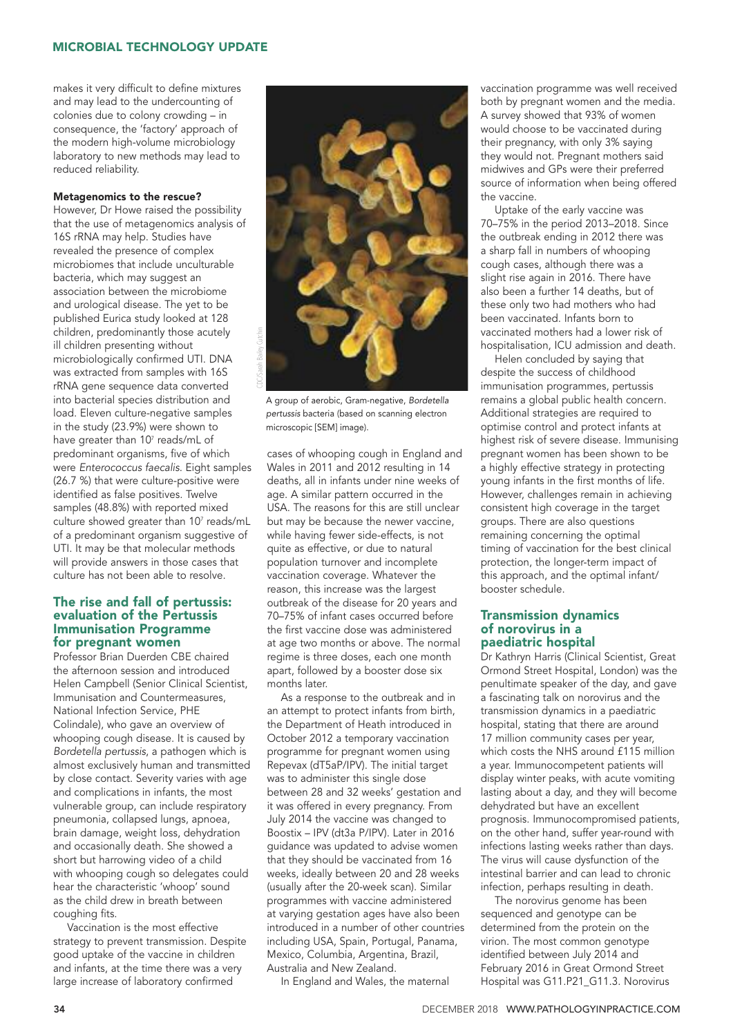makes it very difficult to define mixtures and may lead to the undercounting of colonies due to colony crowding – in consequence, the 'factory' approach of the modern high-volume microbiology laboratory to new methods may lead to reduced reliability.

#### Metagenomics to the rescue?

However, Dr Howe raised the possibility that the use of metagenomics analysis of 16S rRNA may help. Studies have revealed the presence of complex microbiomes that include unculturable bacteria, which may suggest an association between the microbiome and urological disease. The yet to be published Eurica study looked at 128 children, predominantly those acutely ill children presenting without microbiologically confirmed UTI. DNA was extracted from samples with 16S rRNA gene sequence data converted into bacterial species distribution and load. Eleven culture-negative samples in the study (23.9%) were shown to have greater than 10<sup>7</sup> reads/mL of predominant organisms, five of which were *Enterococcus faecalis*. Eight samples (26.7 %) that were culture-positive were identified as false positives. Twelve samples (48.8%) with reported mixed culture showed greater than  $10^7$  reads/mL of a predominant organism suggestive of UTI. It may be that molecular methods will provide answers in those cases that culture has not been able to resolve.

#### The rise and fall of pertussis: evaluation of the Pertussis Immunisation Programme for pregnant women

Professor Brian Duerden CBE chaired the afternoon session and introduced Helen Campbell (Senior Clinical Scientist, Immunisation and Countermeasures, National Infection Service, PHE Colindale), who gave an overview of whooping cough disease. It is caused by *Bordetella pertussis*, a pathogen which is almost exclusively human and transmitted by close contact. Severity varies with age and complications in infants, the most vulnerable group, can include respiratory pneumonia, collapsed lungs, apnoea, brain damage, weight loss, dehydration and occasionally death. She showed a short but harrowing video of a child with whooping cough so delegates could hear the characteristic 'whoop' sound as the child drew in breath between coughing fits.

Vaccination is the most effective strategy to prevent transmission. Despite good uptake of the vaccine in children and infants, at the time there was a very large increase of laboratory confirmed



A group of aerobic, Gram-negative, *Bordetella pertussis* bacteria (based on scanning electron microscopic [SEM] image).

cases of whooping cough in England and Wales in 2011 and 2012 resulting in 14 deaths, all in infants under nine weeks of age. A similar pattern occurred in the USA. The reasons for this are still unclear but may be because the newer vaccine, while having fewer side-effects, is not quite as effective, or due to natural population turnover and incomplete vaccination coverage. Whatever the reason, this increase was the largest outbreak of the disease for 20 years and 70–75% of infant cases occurred before the first vaccine dose was administered at age two months or above. The normal regime is three doses, each one month apart, followed by a booster dose six months later.

As a response to the outbreak and in an attempt to protect infants from birth, the Department of Heath introduced in October 2012 a temporary vaccination programme for pregnant women using Repevax (dT5aP/IPV). The initial target was to administer this single dose between 28 and 32 weeks' gestation and it was offered in every pregnancy. From July 2014 the vaccine was changed to Boostix – IPV (dt3a P/IPV). Later in 2016 guidance was updated to advise women that they should be vaccinated from 16 weeks, ideally between 20 and 28 weeks (usually after the 20-week scan). Similar programmes with vaccine administered at varying gestation ages have also been introduced in a number of other countries including USA, Spain, Portugal, Panama, Mexico, Columbia, Argentina, Brazil, Australia and New Zealand.

In England and Wales, the maternal

vaccination programme was well received both by pregnant women and the media. A survey showed that 93% of women would choose to be vaccinated during their pregnancy, with only 3% saying they would not. Pregnant mothers said midwives and GPs were their preferred source of information when being offered the vaccine.

Uptake of the early vaccine was 70–75% in the period 2013–2018. Since the outbreak ending in 2012 there was a sharp fall in numbers of whooping cough cases, although there was a slight rise again in 2016. There have also been a further 14 deaths, but of these only two had mothers who had been vaccinated. Infants born to vaccinated mothers had a lower risk of hospitalisation, ICU admission and death.

Helen concluded by saying that despite the success of childhood immunisation programmes, pertussis remains a global public health concern. Additional strategies are required to optimise control and protect infants at highest risk of severe disease. Immunising pregnant women has been shown to be a highly effective strategy in protecting young infants in the first months of life. However, challenges remain in achieving consistent high coverage in the target groups. There are also questions remaining concerning the optimal timing of vaccination for the best clinical protection, the longer-term impact of this approach, and the optimal infant/ booster schedule.

#### Transmission dynamics of norovirus in a paediatric hospital

Dr Kathryn Harris (Clinical Scientist, Great Ormond Street Hospital, London) was the penultimate speaker of the day, and gave a fascinating talk on norovirus and the transmission dynamics in a paediatric hospital, stating that there are around 17 million community cases per year, which costs the NHS around £115 million a year. Immunocompetent patients will display winter peaks, with acute vomiting lasting about a day, and they will become dehydrated but have an excellent prognosis. Immunocompromised patients, on the other hand, suffer year-round with infections lasting weeks rather than days. The virus will cause dysfunction of the intestinal barrier and can lead to chronic infection, perhaps resulting in death.

The norovirus genome has been sequenced and genotype can be determined from the protein on the virion. The most common genotype identified between July 2014 and February 2016 in Great Ormond Street Hospital was G11.P21\_G11.3. Norovirus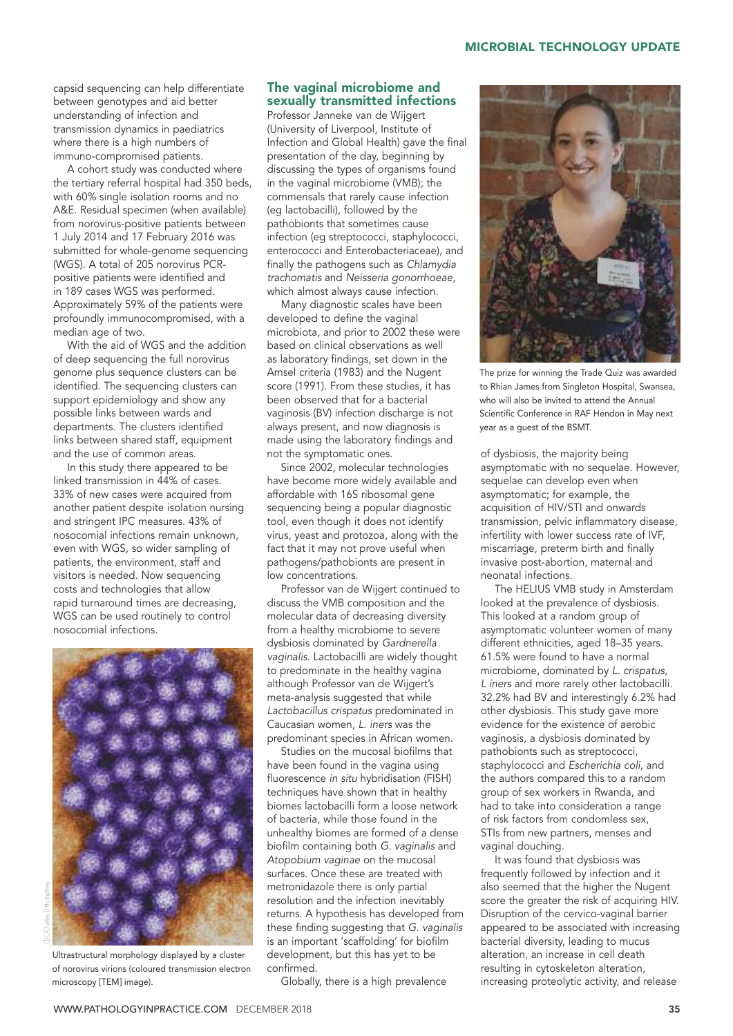capsid sequencing can help differentiate between genotypes and aid better understanding of infection and transmission dynamics in paediatrics where there is a high numbers of immuno-compromised patients.

A cohort study was conducted where the tertiary referral hospital had 350 beds, with 60% single isolation rooms and no A&E. Residual specimen (when available) from norovirus-positive patients between 1 July 2014 and 17 February 2016 was submitted for whole-genome sequencing (WGS). A total of 205 norovirus PCRpositive patients were identified and in 189 cases WGS was performed. Approximately 59% of the patients were profoundly immunocompromised, with a median age of two.

With the aid of WGS and the addition of deep sequencing the full norovirus genome plus sequence clusters can be identified. The sequencing clusters can support epidemiology and show any possible links between wards and departments. The clusters identified links between shared staff, equipment and the use of common areas.

In this study there appeared to be linked transmission in 44% of cases. 33% of new cases were acquired from another patient despite isolation nursing and stringent IPC measures. 43% of nosocomial infections remain unknown, even with WGS, so wider sampling of patients, the environment, staff and visitors is needed. Now sequencing costs and technologies that allow rapid turnaround times are decreasing, WGS can be used routinely to control nosocomial infections.



Ultrastructural morphology displayed by a cluster of norovirus virions (coloured transmission electron microscopy [TEM] image).

# The vaginal microbiome and sexually transmitted infections

Professor Janneke van de Wijgert (University of Liverpool, Institute of Infection and Global Health) gave the final presentation of the day, beginning by discussing the types of organisms found in the vaginal microbiome (VMB); the commensals that rarely cause infection (eg lactobacilli), followed by the pathobionts that sometimes cause infection (eg streptococci, staphylococci, enterococci and Enterobacteriaceae), and finally the pathogens such as *Chlamydia trachomatis* and *Neisseria gonorrhoeae*, which almost always cause infection.

Many diagnostic scales have been developed to define the vaginal microbiota, and prior to 2002 these were based on clinical observations as well as laboratory findings, set down in the Amsel criteria (1983) and the Nugent score (1991). From these studies, it has been observed that for a bacterial vaginosis (BV) infection discharge is not always present, and now diagnosis is made using the laboratory findings and not the symptomatic ones.

Since 2002, molecular technologies have become more widely available and affordable with 16S ribosomal gene sequencing being a popular diagnostic tool, even though it does not identify virus, yeast and protozoa, along with the fact that it may not prove useful when pathogens/pathobionts are present in low concentrations.

Professor van de Wijgert continued to discuss the VMB composition and the molecular data of decreasing diversity from a healthy microbiome to severe dysbiosis dominated by *Gardnerella vaginalis*. Lactobacilli are widely thought to predominate in the healthy vagina although Professor van de Wijgert's meta-analysis suggested that while *Lactobacillus crispatus* predominated in Caucasian women, *L. iners* was the predominant species in African women.

Studies on the mucosal biofilms that have been found in the vagina using fluorescence *in situ* hybridisation (FISH) techniques have shown that in healthy biomes lactobacilli form a loose network of bacteria, while those found in the unhealthy biomes are formed of a dense biofilm containing both *G. vaginalis* and *Atopobium vaginae* on the mucosal surfaces. Once these are treated with metronidazole there is only partial resolution and the infection inevitably returns. A hypothesis has developed from these finding suggesting that *G. vaginalis* is an important 'scaffolding' for biofilm development, but this has yet to be confirmed.

Globally, there is a high prevalence



The prize for winning the Trade Quiz was awarded to Rhian James from Singleton Hospital, Swansea, who will also be invited to attend the Annual Scientific Conference in RAF Hendon in May next year as a guest of the BSMT.

of dysbiosis, the majority being asymptomatic with no sequelae. However, sequelae can develop even when asymptomatic; for example, the acquisition of HIV/STI and onwards transmission, pelvic inflammatory disease, infertility with lower success rate of IVF, miscarriage, preterm birth and finally invasive post-abortion, maternal and neonatal infections.

The HELIUS VMB study in Amsterdam looked at the prevalence of dysbiosis. This looked at a random group of asymptomatic volunteer women of many different ethnicities, aged 18–35 years. 61.5% were found to have a normal microbiome, dominated by *L. crispatus*, *L iners* and more rarely other lactobacilli. 32.2% had BV and interestingly 6.2% had other dysbiosis. This study gave more evidence for the existence of aerobic vaginosis, a dysbiosis dominated by pathobionts such as streptococci, staphylococci and *Escherichia coli*, and the authors compared this to a random group of sex workers in Rwanda, and had to take into consideration a range of risk factors from condomless sex, STIs from new partners, menses and vaginal douching.

It was found that dysbiosis was frequently followed by infection and it also seemed that the higher the Nugent score the greater the risk of acquiring HIV. Disruption of the cervico-vaginal barrier appeared to be associated with increasing bacterial diversity, leading to mucus alteration, an increase in cell death resulting in cytoskeleton alteration, increasing proteolytic activity, and release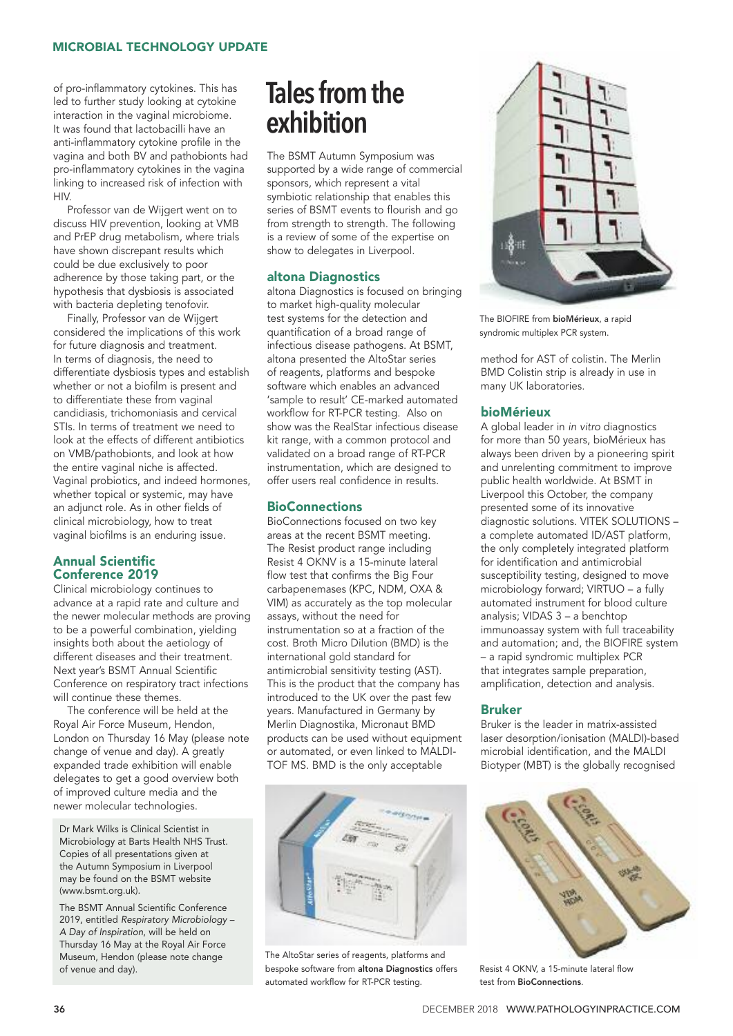of pro-inflammatory cytokines. This has led to further study looking at cytokine interaction in the vaginal microbiome. It was found that lactobacilli have an anti-inflammatory cytokine profile in the vagina and both BV and pathobionts had pro-inflammatory cytokines in the vagina linking to increased risk of infection with **HIV** 

Professor van de Wijgert went on to discuss HIV prevention, looking at VMB and PrEP drug metabolism, where trials have shown discrepant results which could be due exclusively to poor adherence by those taking part, or the hypothesis that dysbiosis is associated with bacteria depleting tenofovir.

Finally, Professor van de Wijgert considered the implications of this work for future diagnosis and treatment. In terms of diagnosis, the need to differentiate dysbiosis types and establish whether or not a biofilm is present and to differentiate these from vaginal candidiasis, trichomoniasis and cervical STIs. In terms of treatment we need to look at the effects of different antibiotics on VMB/pathobionts, and look at how the entire vaginal niche is affected. Vaginal probiotics, and indeed hormones, whether topical or systemic, may have an adjunct role. As in other fields of clinical microbiology, how to treat vaginal biofilms is an enduring issue.

# Annual Scientific Conference 2019

Clinical microbiology continues to advance at a rapid rate and culture and the newer molecular methods are proving to be a powerful combination, yielding insights both about the aetiology of different diseases and their treatment. Next year's BSMT Annual Scientific Conference on respiratory tract infections will continue these themes.

The conference will be held at the Royal Air Force Museum, Hendon, London on Thursday 16 May (please note change of venue and day). A greatly expanded trade exhibition will enable delegates to get a good overview both of improved culture media and the newer molecular technologies.

Dr Mark Wilks is Clinical Scientist in Microbiology at Barts Health NHS Trust. Copies of all presentations given at the Autumn Symposium in Liverpool may be found on the BSMT website (www.bsmt.org.uk).

The BSMT Annual Scientific Conference 2019, entitled *Respiratory Microbiology – A Day of Inspiration*, will be held on Thursday 16 May at the Royal Air Force Museum, Hendon (please note change of venue and day).

# **Tales from the exhibition**

The BSMT Autumn Symposium was supported by a wide range of commercial sponsors, which represent a vital symbiotic relationship that enables this series of BSMT events to flourish and go from strength to strength. The following is a review of some of the expertise on show to delegates in Liverpool.

# altona Diagnostics

altona Diagnostics is focused on bringing to market high-quality molecular test systems for the detection and quantification of a broad range of infectious disease pathogens. At BSMT, altona presented the AltoStar series of reagents, platforms and bespoke software which enables an advanced 'sample to result' CE-marked automated workflow for RT-PCR testing. Also on show was the RealStar infectious disease kit range, with a common protocol and validated on a broad range of RT-PCR instrumentation, which are designed to offer users real confidence in results.

# **BioConnections**

BioConnections focused on two key areas at the recent BSMT meeting. The Resist product range including Resist 4 OKNV is a 15-minute lateral flow test that confirms the Big Four carbapenemases (KPC, NDM, OXA & VIM) as accurately as the top molecular assays, without the need for instrumentation so at a fraction of the cost. Broth Micro Dilution (BMD) is the international gold standard for antimicrobial sensitivity testing (AST). This is the product that the company has introduced to the UK over the past few years. Manufactured in Germany by Merlin Diagnostika, Micronaut BMD products can be used without equipment or automated, or even linked to MALDI-TOF MS. BMD is the only acceptable



The AltoStar series of reagents, platforms and bespoke software from altona Diagnostics offers automated workflow for RT-PCR testing.



The BIOFIRE from bioMérieux, a rapid syndromic multiplex PCR system.

method for AST of colistin. The Merlin BMD Colistin strip is already in use in many UK laboratories.

# bioMérieux

A global leader in *in vitro* diagnostics for more than 50 years, bioMérieux has always been driven by a pioneering spirit and unrelenting commitment to improve public health worldwide. At BSMT in Liverpool this October, the company presented some of its innovative diagnostic solutions. VITEK SOLUTIONS – a complete automated ID/AST platform, the only completely integrated platform for identification and antimicrobial susceptibility testing, designed to move microbiology forward; VIRTUO – a fully automated instrument for blood culture analysis; VIDAS 3 – a benchtop immunoassay system with full traceability and automation; and, the BIOFIRE system – a rapid syndromic multiplex PCR that integrates sample preparation, amplification, detection and analysis.

#### Bruker

Bruker is the leader in matrix-assisted laser desorption/ionisation (MALDI)-based microbial identification, and the MALDI Biotyper (MBT) is the globally recognised



Resist 4 OKNV, a 15-minute lateral flow test from BioConnections.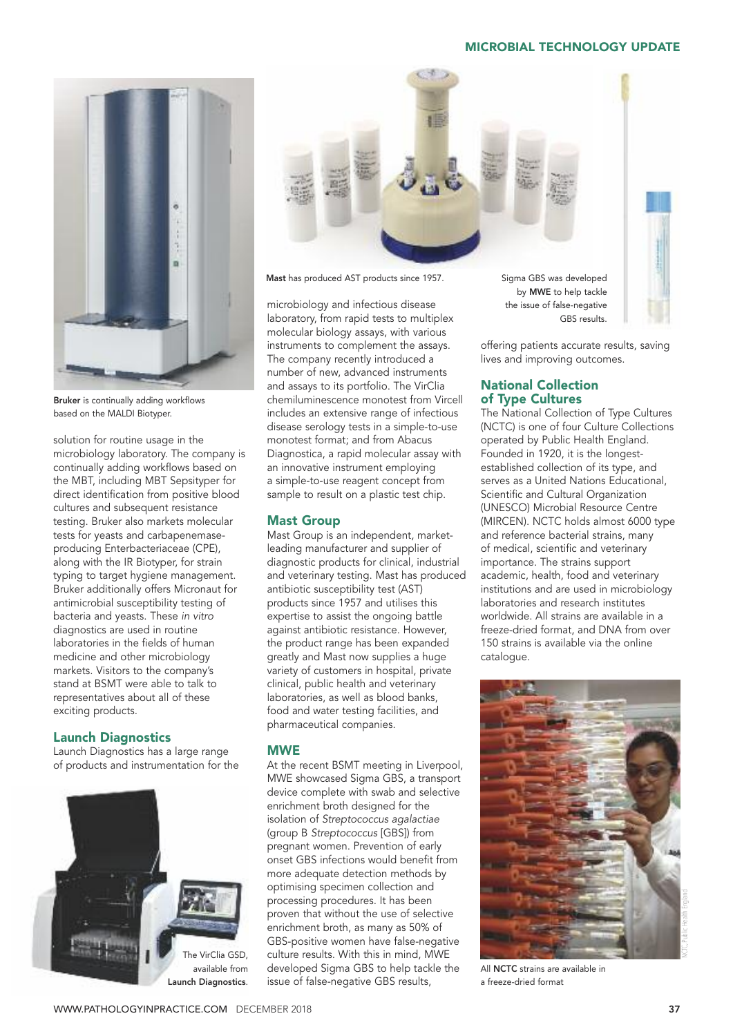

Bruker is continually adding workflows based on the MALDI Biotyper.

solution for routine usage in the microbiology laboratory. The company is continually adding workflows based on the MBT, including MBT Sepsityper for direct identification from positive blood cultures and subsequent resistance testing. Bruker also markets molecular tests for yeasts and carbapenemaseproducing Enterbacteriaceae (CPE), along with the IR Biotyper, for strain typing to target hygiene management. Bruker additionally offers Micronaut for antimicrobial susceptibility testing of bacteria and yeasts. These *in vitro* diagnostics are used in routine laboratories in the fields of human medicine and other microbiology markets. Visitors to the company's stand at BSMT were able to talk to representatives about all of these exciting products.

# Launch Diagnostics

Launch Diagnostics has a large range of products and instrumentation for the





Mast has produced AST products since 1957. Sigma GBS was developed

microbiology and infectious disease laboratory, from rapid tests to multiplex molecular biology assays, with various instruments to complement the assays. The company recently introduced a number of new, advanced instruments and assays to its portfolio. The VirClia chemiluminescence monotest from Vircell includes an extensive range of infectious disease serology tests in a simple-to-use monotest format; and from Abacus Diagnostica, a rapid molecular assay with an innovative instrument employing a simple-to-use reagent concept from sample to result on a plastic test chip.

# Mast Group

Mast Group is an independent, marketleading manufacturer and supplier of diagnostic products for clinical, industrial and veterinary testing. Mast has produced antibiotic susceptibility test (AST) products since 1957 and utilises this expertise to assist the ongoing battle against antibiotic resistance. However, the product range has been expanded greatly and Mast now supplies a huge variety of customers in hospital, private clinical, public health and veterinary laboratories, as well as blood banks, food and water testing facilities, and pharmaceutical companies.

# **MWE**

At the recent BSMT meeting in Liverpool, MWE showcased Sigma GBS, a transport device complete with swab and selective enrichment broth designed for the isolation of *Streptococcus agalactiae* (group B *Streptococcus* [GBS]) from pregnant women. Prevention of early onset GBS infections would benefit from more adequate detection methods by optimising specimen collection and processing procedures. It has been proven that without the use of selective enrichment broth, as many as 50% of GBS-positive women have false-negative culture results. With this in mind, MWE developed Sigma GBS to help tackle the issue of false-negative GBS results,

by MWE to help tackle the issue of false-negative GBS results.



# National Collection of Type Cultures

The National Collection of Type Cultures (NCTC) is one of four Culture Collections operated by Public Health England. Founded in 1920, it is the longestestablished collection of its type, and serves as a United Nations Educational, Scientific and Cultural Organization (UNESCO) Microbial Resource Centre (MIRCEN). NCTC holds almost 6000 type and reference bacterial strains, many of medical, scientific and veterinary importance. The strains support academic, health, food and veterinary institutions and are used in microbiology laboratories and research institutes worldwide. All strains are available in a freeze-dried format, and DNA from over 150 strains is available via the online catalogue.



All NCTC strains are available in a freeze-dried format